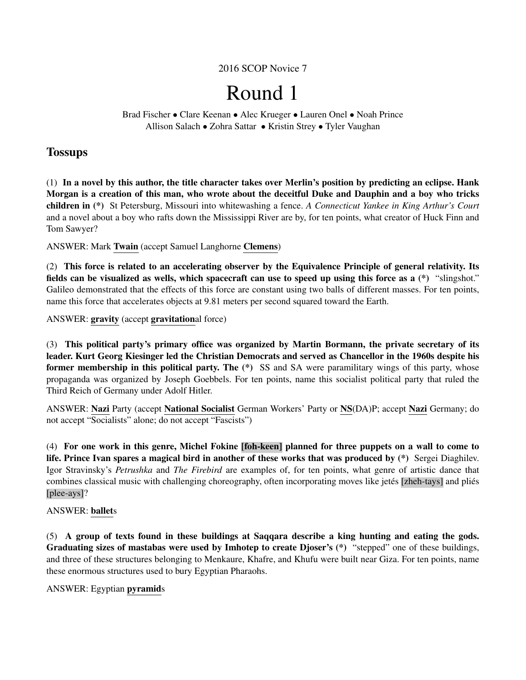2016 SCOP Novice 7

# Round 1

Brad Fischer • Clare Keenan • Alec Krueger • Lauren Onel • Noah Prince Allison Salach • Zohra Sattar • Kristin Strey • Tyler Vaughan

# **Tossups**

(1) In a novel by this author, the title character takes over Merlin's position by predicting an eclipse. Hank Morgan is a creation of this man, who wrote about the deceitful Duke and Dauphin and a boy who tricks children in (\*) St Petersburg, Missouri into whitewashing a fence. *A Connecticut Yankee in King Arthur's Court* and a novel about a boy who rafts down the Mississippi River are by, for ten points, what creator of Huck Finn and Tom Sawyer?

ANSWER: Mark Twain (accept Samuel Langhorne Clemens)

(2) This force is related to an accelerating observer by the Equivalence Principle of general relativity. Its fields can be visualized as wells, which spacecraft can use to speed up using this force as a (\*) "slingshot." Galileo demonstrated that the effects of this force are constant using two balls of different masses. For ten points, name this force that accelerates objects at 9.81 meters per second squared toward the Earth.

ANSWER: gravity (accept gravitational force)

(3) This political party's primary office was organized by Martin Bormann, the private secretary of its leader. Kurt Georg Kiesinger led the Christian Democrats and served as Chancellor in the 1960s despite his former membership in this political party. The  $(*)$  SS and SA were paramilitary wings of this party, whose propaganda was organized by Joseph Goebbels. For ten points, name this socialist political party that ruled the Third Reich of Germany under Adolf Hitler.

ANSWER: Nazi Party (accept National Socialist German Workers' Party or NS(DA)P; accept Nazi Germany; do not accept "Socialists" alone; do not accept "Fascists")

(4) For one work in this genre, Michel Fokine [foh-keen] planned for three puppets on a wall to come to life. Prince Ivan spares a magical bird in another of these works that was produced by (\*) Sergei Diaghilev. Igor Stravinsky's *Petrushka* and *The Firebird* are examples of, for ten points, what genre of artistic dance that combines classical music with challenging choreography, often incorporating moves like jetés [zheh-tays] and pliés [plee-ays]?

# ANSWER: ballets

(5) A group of texts found in these buildings at Saqqara describe a king hunting and eating the gods. Graduating sizes of mastabas were used by Imhotep to create Djoser's (\*) "stepped" one of these buildings, and three of these structures belonging to Menkaure, Khafre, and Khufu were built near Giza. For ten points, name these enormous structures used to bury Egyptian Pharaohs.

ANSWER: Egyptian pyramids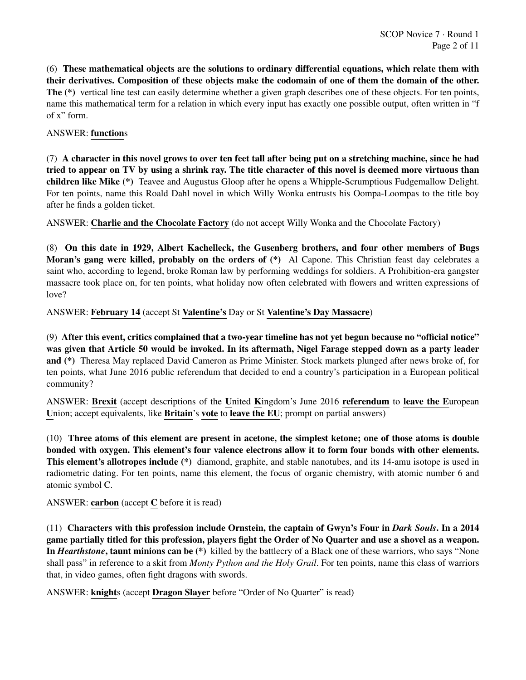(6) These mathematical objects are the solutions to ordinary differential equations, which relate them with their derivatives. Composition of these objects make the codomain of one of them the domain of the other. The (\*) vertical line test can easily determine whether a given graph describes one of these objects. For ten points, name this mathematical term for a relation in which every input has exactly one possible output, often written in "f of x" form.

# ANSWER: functions

(7) A character in this novel grows to over ten feet tall after being put on a stretching machine, since he had tried to appear on TV by using a shrink ray. The title character of this novel is deemed more virtuous than children like Mike (\*) Teavee and Augustus Gloop after he opens a Whipple-Scrumptious Fudgemallow Delight. For ten points, name this Roald Dahl novel in which Willy Wonka entrusts his Oompa-Loompas to the title boy after he finds a golden ticket.

ANSWER: Charlie and the Chocolate Factory (do not accept Willy Wonka and the Chocolate Factory)

(8) On this date in 1929, Albert Kachelleck, the Gusenberg brothers, and four other members of Bugs Moran's gang were killed, probably on the orders of (\*) Al Capone. This Christian feast day celebrates a saint who, according to legend, broke Roman law by performing weddings for soldiers. A Prohibition-era gangster massacre took place on, for ten points, what holiday now often celebrated with flowers and written expressions of love?

ANSWER: February 14 (accept St Valentine's Day or St Valentine's Day Massacre)

(9) After this event, critics complained that a two-year timeline has not yet begun because no "official notice" was given that Article 50 would be invoked. In its aftermath, Nigel Farage stepped down as a party leader and (\*) Theresa May replaced David Cameron as Prime Minister. Stock markets plunged after news broke of, for ten points, what June 2016 public referendum that decided to end a country's participation in a European political community?

ANSWER: Brexit (accept descriptions of the United Kingdom's June 2016 referendum to leave the European Union; accept equivalents, like **Britain's vote** to **leave the EU**; prompt on partial answers)

(10) Three atoms of this element are present in acetone, the simplest ketone; one of those atoms is double bonded with oxygen. This element's four valence electrons allow it to form four bonds with other elements. This element's allotropes include (\*) diamond, graphite, and stable nanotubes, and its 14-amu isotope is used in radiometric dating. For ten points, name this element, the focus of organic chemistry, with atomic number 6 and atomic symbol C.

ANSWER: carbon (accept C before it is read)

(11) Characters with this profession include Ornstein, the captain of Gwyn's Four in *Dark Souls*. In a 2014 game partially titled for this profession, players fight the Order of No Quarter and use a shovel as a weapon. In *Hearthstone*, taunt minions can be (\*) killed by the battlecry of a Black one of these warriors, who says "None shall pass" in reference to a skit from *Monty Python and the Holy Grail*. For ten points, name this class of warriors that, in video games, often fight dragons with swords.

ANSWER: knights (accept Dragon Slayer before "Order of No Quarter" is read)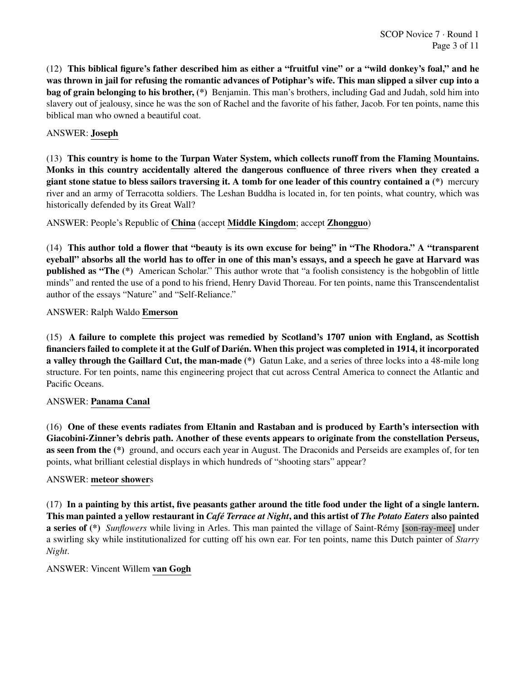(12) This biblical figure's father described him as either a "fruitful vine" or a "wild donkey's foal," and he was thrown in jail for refusing the romantic advances of Potiphar's wife. This man slipped a silver cup into a bag of grain belonging to his brother, (\*) Benjamin. This man's brothers, including Gad and Judah, sold him into slavery out of jealousy, since he was the son of Rachel and the favorite of his father, Jacob. For ten points, name this biblical man who owned a beautiful coat.

# ANSWER: Joseph

(13) This country is home to the Turpan Water System, which collects runoff from the Flaming Mountains. Monks in this country accidentally altered the dangerous confluence of three rivers when they created a giant stone statue to bless sailors traversing it. A tomb for one leader of this country contained a (\*) mercury river and an army of Terracotta soldiers. The Leshan Buddha is located in, for ten points, what country, which was historically defended by its Great Wall?

ANSWER: People's Republic of China (accept Middle Kingdom; accept Zhongguo)

(14) This author told a flower that "beauty is its own excuse for being" in "The Rhodora." A "transparent eyeball" absorbs all the world has to offer in one of this man's essays, and a speech he gave at Harvard was published as "The (\*) American Scholar." This author wrote that "a foolish consistency is the hobgoblin of little minds" and rented the use of a pond to his friend, Henry David Thoreau. For ten points, name this Transcendentalist author of the essays "Nature" and "Self-Reliance."

ANSWER: Ralph Waldo Emerson

(15) A failure to complete this project was remedied by Scotland's 1707 union with England, as Scottish financiers failed to complete it at the Gulf of Darien. When this project was completed in 1914, it incorporated ´ a valley through the Gaillard Cut, the man-made (\*) Gatun Lake, and a series of three locks into a 48-mile long structure. For ten points, name this engineering project that cut across Central America to connect the Atlantic and Pacific Oceans.

# ANSWER: Panama Canal

(16) One of these events radiates from Eltanin and Rastaban and is produced by Earth's intersection with Giacobini-Zinner's debris path. Another of these events appears to originate from the constellation Perseus, as seen from the (\*) ground, and occurs each year in August. The Draconids and Perseids are examples of, for ten points, what brilliant celestial displays in which hundreds of "shooting stars" appear?

# ANSWER: meteor showers

(17) In a painting by this artist, five peasants gather around the title food under the light of a single lantern. This man painted a yellow restaurant in *Cafe Terrace at Night ´* , and this artist of *The Potato Eaters* also painted a series of (\*) *Sunflowers* while living in Arles. This man painted the village of Saint-Rémy [son-ray-mee] under a swirling sky while institutionalized for cutting off his own ear. For ten points, name this Dutch painter of *Starry Night*.

# ANSWER: Vincent Willem van Gogh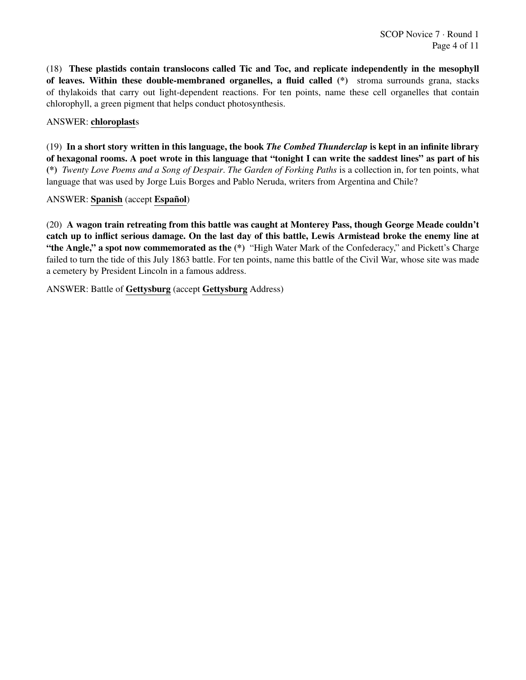(18) These plastids contain translocons called Tic and Toc, and replicate independently in the mesophyll of leaves. Within these double-membraned organelles, a fluid called (\*) stroma surrounds grana, stacks of thylakoids that carry out light-dependent reactions. For ten points, name these cell organelles that contain chlorophyll, a green pigment that helps conduct photosynthesis.

# ANSWER: chloroplasts

(19) In a short story written in this language, the book *The Combed Thunderclap* is kept in an infinite library of hexagonal rooms. A poet wrote in this language that "tonight I can write the saddest lines" as part of his (\*) *Twenty Love Poems and a Song of Despair*. *The Garden of Forking Paths* is a collection in, for ten points, what language that was used by Jorge Luis Borges and Pablo Neruda, writers from Argentina and Chile?

# ANSWER: Spanish (accept Español)

(20) A wagon train retreating from this battle was caught at Monterey Pass, though George Meade couldn't catch up to inflict serious damage. On the last day of this battle, Lewis Armistead broke the enemy line at "the Angle," a spot now commemorated as the  $(*)$  "High Water Mark of the Confederacy," and Pickett's Charge failed to turn the tide of this July 1863 battle. For ten points, name this battle of the Civil War, whose site was made a cemetery by President Lincoln in a famous address.

ANSWER: Battle of Gettysburg (accept Gettysburg Address)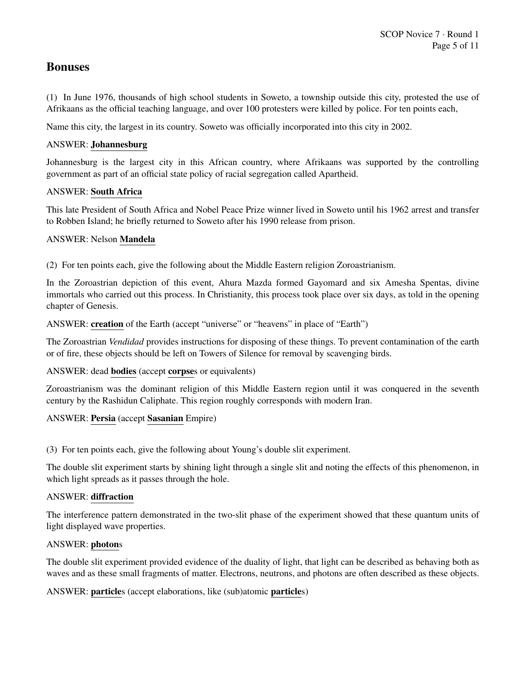# Bonuses

(1) In June 1976, thousands of high school students in Soweto, a township outside this city, protested the use of Afrikaans as the official teaching language, and over 100 protesters were killed by police. For ten points each,

Name this city, the largest in its country. Soweto was officially incorporated into this city in 2002.

# ANSWER: Johannesburg

Johannesburg is the largest city in this African country, where Afrikaans was supported by the controlling government as part of an official state policy of racial segregation called Apartheid.

# ANSWER: South Africa

This late President of South Africa and Nobel Peace Prize winner lived in Soweto until his 1962 arrest and transfer to Robben Island; he briefly returned to Soweto after his 1990 release from prison.

# ANSWER: Nelson Mandela

(2) For ten points each, give the following about the Middle Eastern religion Zoroastrianism.

In the Zoroastrian depiction of this event, Ahura Mazda formed Gayomard and six Amesha Spentas, divine immortals who carried out this process. In Christianity, this process took place over six days, as told in the opening chapter of Genesis.

ANSWER: creation of the Earth (accept "universe" or "heavens" in place of "Earth")

The Zoroastrian *Vendidad* provides instructions for disposing of these things. To prevent contamination of the earth or of fire, these objects should be left on Towers of Silence for removal by scavenging birds.

ANSWER: dead bodies (accept corpses or equivalents)

Zoroastrianism was the dominant religion of this Middle Eastern region until it was conquered in the seventh century by the Rashidun Caliphate. This region roughly corresponds with modern Iran.

# ANSWER: Persia (accept Sasanian Empire)

(3) For ten points each, give the following about Young's double slit experiment.

The double slit experiment starts by shining light through a single slit and noting the effects of this phenomenon, in which light spreads as it passes through the hole.

# ANSWER: diffraction

The interference pattern demonstrated in the two-slit phase of the experiment showed that these quantum units of light displayed wave properties.

# ANSWER: photons

The double slit experiment provided evidence of the duality of light, that light can be described as behaving both as waves and as these small fragments of matter. Electrons, neutrons, and photons are often described as these objects.

ANSWER: particles (accept elaborations, like (sub)atomic particles)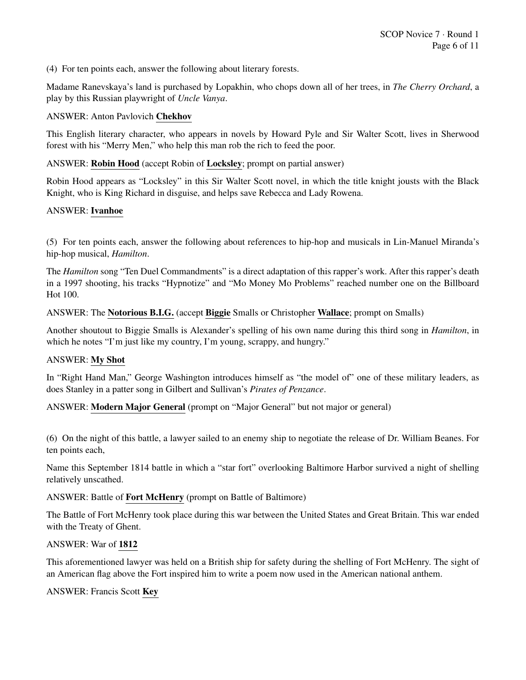(4) For ten points each, answer the following about literary forests.

Madame Ranevskaya's land is purchased by Lopakhin, who chops down all of her trees, in *The Cherry Orchard*, a play by this Russian playwright of *Uncle Vanya*.

#### ANSWER: Anton Pavlovich Chekhov

This English literary character, who appears in novels by Howard Pyle and Sir Walter Scott, lives in Sherwood forest with his "Merry Men," who help this man rob the rich to feed the poor.

#### ANSWER: Robin Hood (accept Robin of Locksley; prompt on partial answer)

Robin Hood appears as "Locksley" in this Sir Walter Scott novel, in which the title knight jousts with the Black Knight, who is King Richard in disguise, and helps save Rebecca and Lady Rowena.

#### ANSWER: Ivanhoe

(5) For ten points each, answer the following about references to hip-hop and musicals in Lin-Manuel Miranda's hip-hop musical, *Hamilton*.

The *Hamilton* song "Ten Duel Commandments" is a direct adaptation of this rapper's work. After this rapper's death in a 1997 shooting, his tracks "Hypnotize" and "Mo Money Mo Problems" reached number one on the Billboard Hot 100.

#### ANSWER: The Notorious B.I.G. (accept Biggie Smalls or Christopher Wallace; prompt on Smalls)

Another shoutout to Biggie Smalls is Alexander's spelling of his own name during this third song in *Hamilton*, in which he notes "I'm just like my country, I'm young, scrappy, and hungry."

#### ANSWER: My Shot

In "Right Hand Man," George Washington introduces himself as "the model of" one of these military leaders, as does Stanley in a patter song in Gilbert and Sullivan's *Pirates of Penzance*.

ANSWER: Modern Major General (prompt on "Major General" but not major or general)

(6) On the night of this battle, a lawyer sailed to an enemy ship to negotiate the release of Dr. William Beanes. For ten points each,

Name this September 1814 battle in which a "star fort" overlooking Baltimore Harbor survived a night of shelling relatively unscathed.

#### ANSWER: Battle of Fort McHenry (prompt on Battle of Baltimore)

The Battle of Fort McHenry took place during this war between the United States and Great Britain. This war ended with the Treaty of Ghent.

#### ANSWER: War of 1812

This aforementioned lawyer was held on a British ship for safety during the shelling of Fort McHenry. The sight of an American flag above the Fort inspired him to write a poem now used in the American national anthem.

#### ANSWER: Francis Scott Key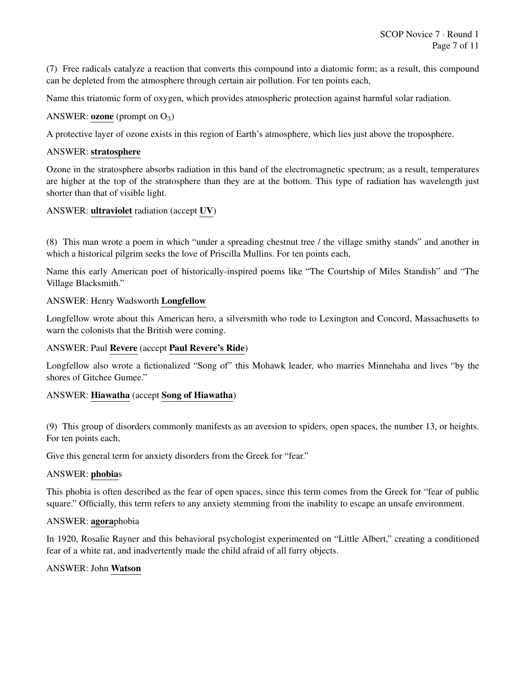(7) Free radicals catalyze a reaction that converts this compound into a diatomic form; as a result, this compound can be depleted from the atmosphere through certain air pollution. For ten points each,

Name this triatomic form of oxygen, which provides atmospheric protection against harmful solar radiation.

#### ANSWER: **ozone** (prompt on  $O_3$ )

A protective layer of ozone exists in this region of Earth's atmosphere, which lies just above the troposphere.

#### ANSWER: stratosphere

Ozone in the stratosphere absorbs radiation in this band of the electromagnetic spectrum; as a result, temperatures are higher at the top of the stratosphere than they are at the bottom. This type of radiation has wavelength just shorter than that of visible light.

# ANSWER: ultraviolet radiation (accept UV)

(8) This man wrote a poem in which "under a spreading chestnut tree / the village smithy stands" and another in which a historical pilgrim seeks the love of Priscilla Mullins. For ten points each,

Name this early American poet of historically-inspired poems like "The Courtship of Miles Standish" and "The Village Blacksmith."

# ANSWER: Henry Wadsworth Longfellow

Longfellow wrote about this American hero, a silversmith who rode to Lexington and Concord, Massachusetts to warn the colonists that the British were coming.

# ANSWER: Paul Revere (accept Paul Revere's Ride)

Longfellow also wrote a fictionalized "Song of" this Mohawk leader, who marries Minnehaha and lives "by the shores of Gitchee Gumee."

# ANSWER: Hiawatha (accept Song of Hiawatha)

(9) This group of disorders commonly manifests as an aversion to spiders, open spaces, the number 13, or heights. For ten points each,

Give this general term for anxiety disorders from the Greek for "fear."

#### ANSWER: phobias

This phobia is often described as the fear of open spaces, since this term comes from the Greek for "fear of public square." Officially, this term refers to any anxiety stemming from the inability to escape an unsafe environment.

#### ANSWER: agoraphobia

In 1920, Rosalie Rayner and this behavioral psychologist experimented on "Little Albert," creating a conditioned fear of a white rat, and inadvertently made the child afraid of all furry objects.

# ANSWER: John Watson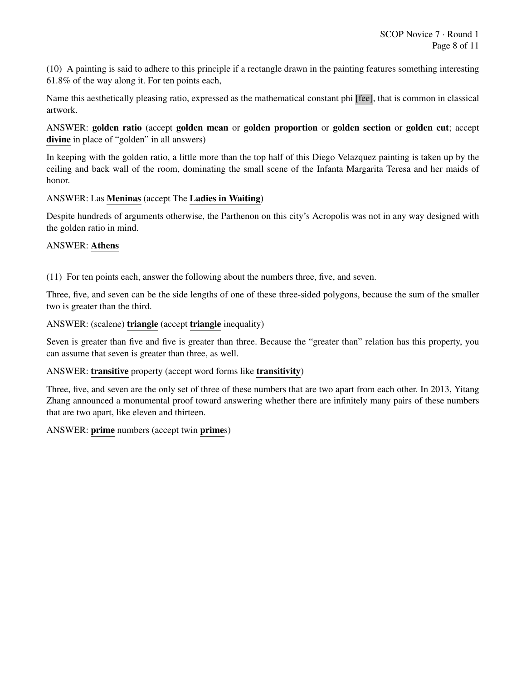(10) A painting is said to adhere to this principle if a rectangle drawn in the painting features something interesting 61.8% of the way along it. For ten points each,

Name this aesthetically pleasing ratio, expressed as the mathematical constant phi [fee], that is common in classical artwork.

ANSWER: golden ratio (accept golden mean or golden proportion or golden section or golden cut; accept divine in place of "golden" in all answers)

In keeping with the golden ratio, a little more than the top half of this Diego Velazquez painting is taken up by the ceiling and back wall of the room, dominating the small scene of the Infanta Margarita Teresa and her maids of honor.

# ANSWER: Las Meninas (accept The Ladies in Waiting)

Despite hundreds of arguments otherwise, the Parthenon on this city's Acropolis was not in any way designed with the golden ratio in mind.

#### ANSWER: Athens

(11) For ten points each, answer the following about the numbers three, five, and seven.

Three, five, and seven can be the side lengths of one of these three-sided polygons, because the sum of the smaller two is greater than the third.

#### ANSWER: (scalene) triangle (accept triangle inequality)

Seven is greater than five and five is greater than three. Because the "greater than" relation has this property, you can assume that seven is greater than three, as well.

# ANSWER: transitive property (accept word forms like transitivity)

Three, five, and seven are the only set of three of these numbers that are two apart from each other. In 2013, Yitang Zhang announced a monumental proof toward answering whether there are infinitely many pairs of these numbers that are two apart, like eleven and thirteen.

# ANSWER: prime numbers (accept twin primes)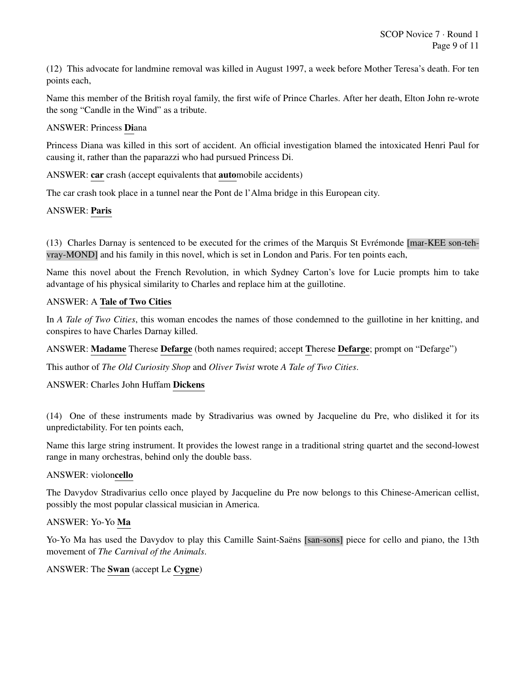(12) This advocate for landmine removal was killed in August 1997, a week before Mother Teresa's death. For ten points each,

Name this member of the British royal family, the first wife of Prince Charles. After her death, Elton John re-wrote the song "Candle in the Wind" as a tribute.

# ANSWER: Princess Diana

Princess Diana was killed in this sort of accident. An official investigation blamed the intoxicated Henri Paul for causing it, rather than the paparazzi who had pursued Princess Di.

ANSWER: car crash (accept equivalents that automobile accidents)

The car crash took place in a tunnel near the Pont de l'Alma bridge in this European city.

# ANSWER: Paris

 $(13)$  Charles Darnay is sentenced to be executed for the crimes of the Marquis St Evrémonde [mar-KEE son-tehvray-MOND] and his family in this novel, which is set in London and Paris. For ten points each,

Name this novel about the French Revolution, in which Sydney Carton's love for Lucie prompts him to take advantage of his physical similarity to Charles and replace him at the guillotine.

#### ANSWER: A Tale of Two Cities

In *A Tale of Two Cities*, this woman encodes the names of those condemned to the guillotine in her knitting, and conspires to have Charles Darnay killed.

ANSWER: Madame Therese Defarge (both names required; accept Therese Defarge; prompt on "Defarge")

This author of *The Old Curiosity Shop* and *Oliver Twist* wrote *A Tale of Two Cities*.

# ANSWER: Charles John Huffam Dickens

(14) One of these instruments made by Stradivarius was owned by Jacqueline du Pre, who disliked it for its unpredictability. For ten points each,

Name this large string instrument. It provides the lowest range in a traditional string quartet and the second-lowest range in many orchestras, behind only the double bass.

#### ANSWER: violoncello

The Davydov Stradivarius cello once played by Jacqueline du Pre now belongs to this Chinese-American cellist, possibly the most popular classical musician in America.

# ANSWER: Yo-Yo Ma

Yo-Yo Ma has used the Davydov to play this Camille Saint-Saëns [san-sons] piece for cello and piano, the 13th movement of *The Carnival of the Animals*.

# ANSWER: The Swan (accept Le Cygne)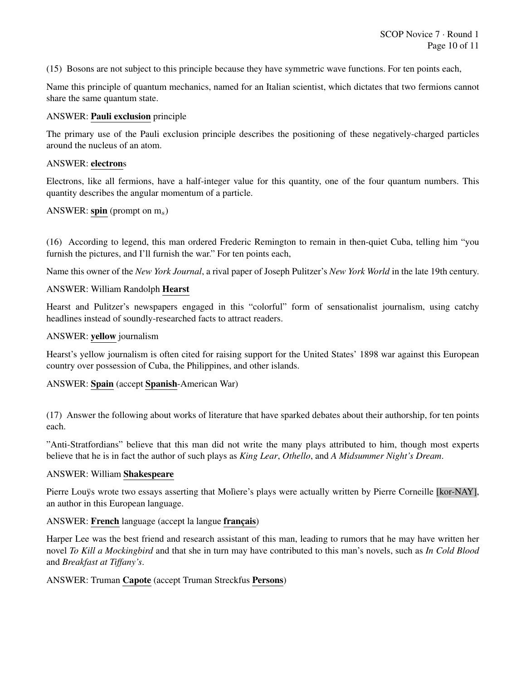(15) Bosons are not subject to this principle because they have symmetric wave functions. For ten points each,

Name this principle of quantum mechanics, named for an Italian scientist, which dictates that two fermions cannot share the same quantum state.

#### ANSWER: Pauli exclusion principle

The primary use of the Pauli exclusion principle describes the positioning of these negatively-charged particles around the nucleus of an atom.

#### ANSWER: electrons

Electrons, like all fermions, have a half-integer value for this quantity, one of the four quantum numbers. This quantity describes the angular momentum of a particle.

#### ANSWER: spin (prompt on  $m_s$ )

(16) According to legend, this man ordered Frederic Remington to remain in then-quiet Cuba, telling him "you furnish the pictures, and I'll furnish the war." For ten points each,

Name this owner of the *New York Journal*, a rival paper of Joseph Pulitzer's *New York World* in the late 19th century.

#### ANSWER: William Randolph Hearst

Hearst and Pulitzer's newspapers engaged in this "colorful" form of sensationalist journalism, using catchy headlines instead of soundly-researched facts to attract readers.

#### ANSWER: yellow journalism

Hearst's yellow journalism is often cited for raising support for the United States' 1898 war against this European country over possession of Cuba, the Philippines, and other islands.

# ANSWER: Spain (accept Spanish-American War)

(17) Answer the following about works of literature that have sparked debates about their authorship, for ten points each.

"Anti-Stratfordians" believe that this man did not write the many plays attributed to him, though most experts believe that he is in fact the author of such plays as *King Lear*, *Othello*, and *A Midsummer Night's Dream*.

#### ANSWER: William Shakespeare

Pierre Louys wrote two essays asserting that Moliere's plays were actually written by Pierre Corneille [kor-NAY], an author in this European language.

# ANSWER: French language (accept la langue français)

Harper Lee was the best friend and research assistant of this man, leading to rumors that he may have written her novel *To Kill a Mockingbird* and that she in turn may have contributed to this man's novels, such as *In Cold Blood* and *Breakfast at Tiffany's*.

# ANSWER: Truman Capote (accept Truman Streckfus Persons)